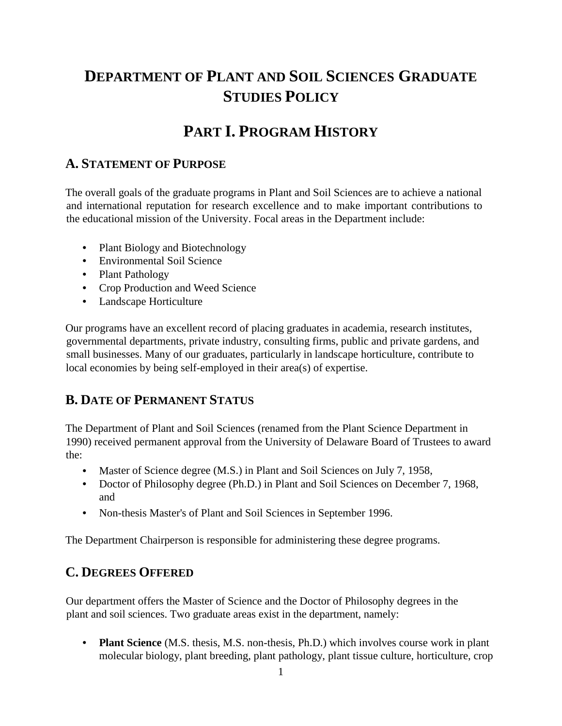# **DEPARTMENT OF PLANT AND SOIL SCIENCES GRADUATE STUDIES POLICY**

# **PART I. PROGRAM HISTORY**

## **A. STATEMENT OF PURPOSE**

The overall goals of the graduate programs in Plant and Soil Sciences are to achieve a national and international reputation for research excellence and to make important contributions to the educational mission of the University. Focal areas in the Department include:

- Plant Biology and Biotechnology
- Environmental Soil Science
- Plant Pathology
- Crop Production and Weed Science
- Landscape Horticulture

Our programs have an excellent record of placing graduates in academia, research institutes, governmental departments, private industry, consulting firms, public and private gardens, and small businesses. Many of our graduates, particularly in landscape horticulture, contribute to local economies by being self-employed in their area(s) of expertise.

## **B. DATE OF PERMANENT STATUS**

The Department of Plant and Soil Sciences (renamed from the Plant Science Department in 1990) received permanent approval from the University of Delaware Board of Trustees to award the:

- Master of Science degree (M.S.) in Plant and Soil Sciences on July 7, 1958,
- Doctor of Philosophy degree (Ph.D.) in Plant and Soil Sciences on December 7, 1968, and
- Non-thesis Master's of Plant and Soil Sciences in September 1996.

The Department Chairperson is responsible for administering these degree programs.

## **C. DEGREES OFFERED**

Our department offers the Master of Science and the Doctor of Philosophy degrees in the plant and soil sciences. Two graduate areas exist in the department, namely:

• **Plant Science** (M.S. thesis, M.S. non-thesis, Ph.D.) which involves course work in plant molecular biology, plant breeding, plant pathology, plant tissue culture, horticulture, crop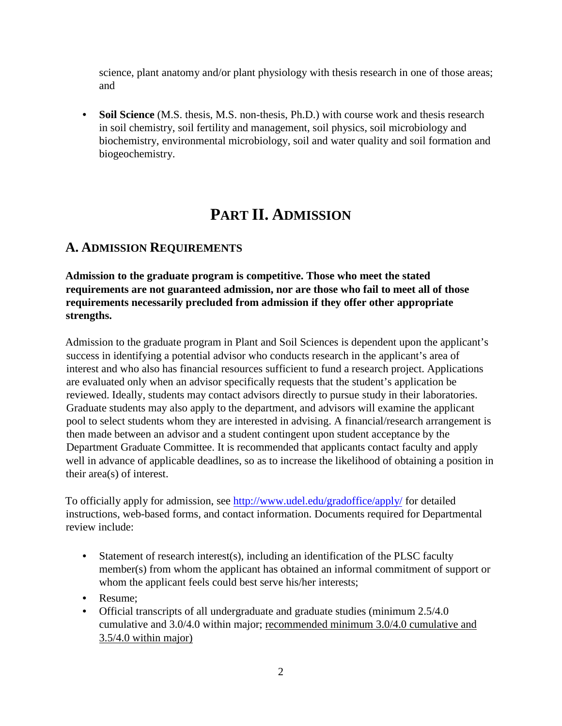science, plant anatomy and/or plant physiology with thesis research in one of those areas; and

• **Soil Science** (M.S. thesis, M.S. non-thesis, Ph.D.) with course work and thesis research in soil chemistry, soil fertility and management, soil physics, soil microbiology and biochemistry, environmental microbiology, soil and water quality and soil formation and biogeochemistry.

# **PART II. ADMISSION**

## **A. ADMISSION REQUIREMENTS**

**Admission to the graduate program is competitive. Those who meet the stated requirements are not guaranteed admission, nor are those who fail to meet all of those requirements necessarily precluded from admission if they offer other appropriate strengths.**

Admission to the graduate program in Plant and Soil Sciences is dependent upon the applicant's success in identifying a potential advisor who conducts research in the applicant's area of interest and who also has financial resources sufficient to fund a research project. Applications are evaluated only when an advisor specifically requests that the student's application be reviewed. Ideally, students may contact advisors directly to pursue study in their laboratories. Graduate students may also apply to the department, and advisors will examine the applicant pool to select students whom they are interested in advising. A financial/research arrangement is then made between an advisor and a student contingent upon student acceptance by the Department Graduate Committee. It is recommended that applicants contact faculty and apply well in advance of applicable deadlines, so as to increase the likelihood of obtaining a position in their area(s) of interest.

To officially apply for admission, see http://www.udel.edu/gradoffice/apply/ for detailed instructions, web-based forms, and contact information. Documents required for Departmental review include:

- Statement of research interest(s), including an identification of the PLSC faculty member(s) from whom the applicant has obtained an informal commitment of support or whom the applicant feels could best serve his/her interests;
- Resume;
- Official transcripts of all undergraduate and graduate studies (minimum 2.5/4.0) cumulative and 3.0/4.0 within major; recommended minimum 3.0/4.0 cumulative and 3.5/4.0 within major)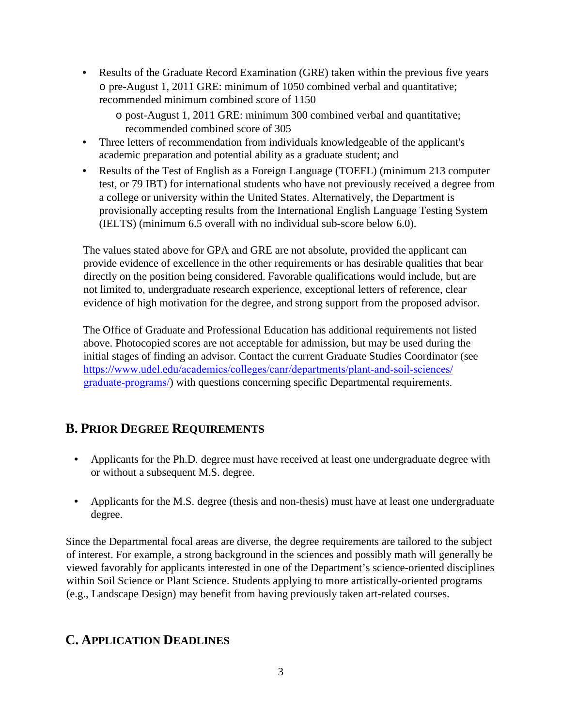- Results of the Graduate Record Examination (GRE) taken within the previous five years o pre-August 1, 2011 GRE: minimum of 1050 combined verbal and quantitative; recommended minimum combined score of 1150
	- o post-August 1, 2011 GRE: minimum 300 combined verbal and quantitative; recommended combined score of 305
- Three letters of recommendation from individuals knowledgeable of the applicant's academic preparation and potential ability as a graduate student; and
- Results of the Test of English as a Foreign Language (TOEFL) (minimum 213 computer test, or 79 IBT) for international students who have not previously received a degree from a college or university within the United States. Alternatively, the Department is provisionally accepting results from the International English Language Testing System (IELTS) (minimum 6.5 overall with no individual sub-score below 6.0).

The values stated above for GPA and GRE are not absolute, provided the applicant can provide evidence of excellence in the other requirements or has desirable qualities that bear directly on the position being considered. Favorable qualifications would include, but are not limited to, undergraduate research experience, exceptional letters of reference, clear evidence of high motivation for the degree, and strong support from the proposed advisor.

The Office of Graduate and Professional Education has additional requirements not listed above. Photocopied scores are not acceptable for admission, but may be used during the initial stages of finding an advisor. Contact the current Graduate Studies Coordinator (see https://www.udel.edu/academics/colleges/canr/departments/plant-and-soil-sciences/ graduate-programs/) with questions concerning specific Departmental requirements.

## **B. PRIOR DEGREE REQUIREMENTS**

- Applicants for the Ph.D. degree must have received at least one undergraduate degree with or without a subsequent M.S. degree.
- Applicants for the M.S. degree (thesis and non-thesis) must have at least one undergraduate degree.

Since the Departmental focal areas are diverse, the degree requirements are tailored to the subject of interest. For example, a strong background in the sciences and possibly math will generally be viewed favorably for applicants interested in one of the Department's science-oriented disciplines within Soil Science or Plant Science. Students applying to more artistically-oriented programs (e.g., Landscape Design) may benefit from having previously taken art-related courses.

## **C. APPLICATION DEADLINES**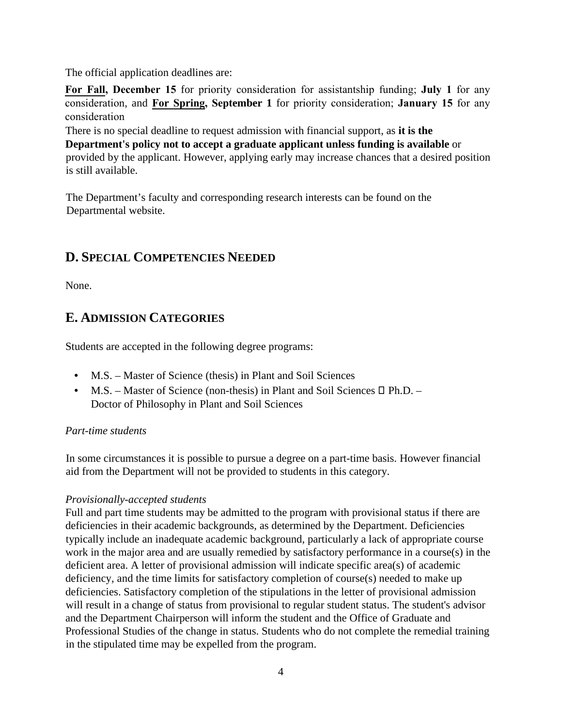The official application deadlines are:

**For Fall, December 15** for priority consideration for assistantship funding; **July 1** for any consideration, and **For Spring, September 1** for priority consideration; **January 15** for any consideration

There is no special deadline to request admission with financial support, as **it is the Department's policy not to accept a graduate applicant unless funding is available** or provided by the applicant. However, applying early may increase chances that a desired position is still available.

The Department's faculty and corresponding research interests can be found on the Departmental website.

## **D. SPECIAL COMPETENCIES NEEDED**

None.

## **E. ADMISSION CATEGORIES**

Students are accepted in the following degree programs:

- M.S. Master of Science (thesis) in Plant and Soil Sciences
- $M.S.$  Master of Science (non-thesis) in Plant and Soil Sciences  $\Box$  Ph.D. Doctor of Philosophy in Plant and Soil Sciences

#### *Part-time students*

In some circumstances it is possible to pursue a degree on a part-time basis. However financial aid from the Department will not be provided to students in this category.

#### *Provisionally-accepted students*

Full and part time students may be admitted to the program with provisional status if there are deficiencies in their academic backgrounds, as determined by the Department. Deficiencies typically include an inadequate academic background, particularly a lack of appropriate course work in the major area and are usually remedied by satisfactory performance in a course(s) in the deficient area. A letter of provisional admission will indicate specific area(s) of academic deficiency, and the time limits for satisfactory completion of course(s) needed to make up deficiencies. Satisfactory completion of the stipulations in the letter of provisional admission will result in a change of status from provisional to regular student status. The student's advisor and the Department Chairperson will inform the student and the Office of Graduate and Professional Studies of the change in status. Students who do not complete the remedial training in the stipulated time may be expelled from the program.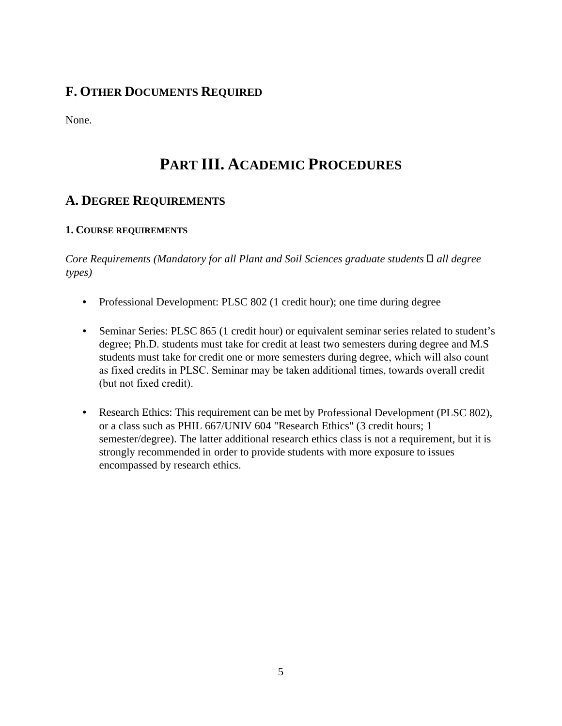## **F. OTHER DOCUMENTS REQUIRED**

None.

# **PART III. ACADEMIC PROCEDURES**

## **A. DEGREE REQUIREMENTS**

### **1. COURSE REQUIREMENTS**

*Core Requirements (Mandatory for all Plant and Soil Sciences graduate students*  $\Box$  all degree *types)* 

- Professional Development: PLSC 802 (1 credit hour); one time during degree
- Seminar Series: PLSC 865 (1 credit hour) or equivalent seminar series related to student's degree; Ph.D. students must take for credit at least two semesters during degree and M.S students must take for credit one or more semesters during degree, which will also count as fixed credits in PLSC. Seminar may be taken additional times, towards overall credit (but not fixed credit).
- Research Ethics: This requirement can be met by Professional Development (PLSC 802), or a class such as PHIL 667/UNIV 604 "Research Ethics" (3 credit hours; 1 semester/degree). The latter additional research ethics class is not a requirement, but it is strongly recommended in order to provide students with more exposure to issues encompassed by research ethics.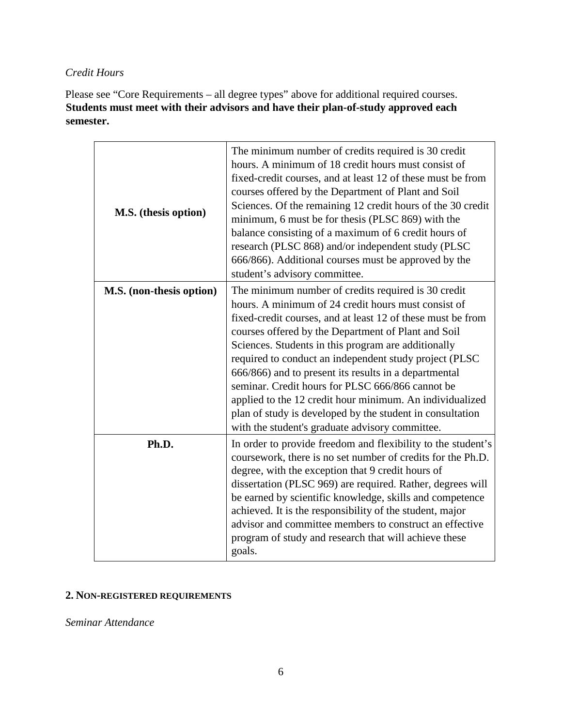#### *Credit Hours*

Please see "Core Requirements – all degree types" above for additional required courses. **Students must meet with their advisors and have their plan-of-study approved each semester.**

| M.S. (thesis option)     | The minimum number of credits required is 30 credit<br>hours. A minimum of 18 credit hours must consist of<br>fixed-credit courses, and at least 12 of these must be from<br>courses offered by the Department of Plant and Soil<br>Sciences. Of the remaining 12 credit hours of the 30 credit<br>minimum, 6 must be for thesis (PLSC 869) with the<br>balance consisting of a maximum of 6 credit hours of<br>research (PLSC 868) and/or independent study (PLSC<br>666/866). Additional courses must be approved by the<br>student's advisory committee.                                                                                |
|--------------------------|--------------------------------------------------------------------------------------------------------------------------------------------------------------------------------------------------------------------------------------------------------------------------------------------------------------------------------------------------------------------------------------------------------------------------------------------------------------------------------------------------------------------------------------------------------------------------------------------------------------------------------------------|
| M.S. (non-thesis option) | The minimum number of credits required is 30 credit<br>hours. A minimum of 24 credit hours must consist of<br>fixed-credit courses, and at least 12 of these must be from<br>courses offered by the Department of Plant and Soil<br>Sciences. Students in this program are additionally<br>required to conduct an independent study project (PLSC<br>666/866) and to present its results in a departmental<br>seminar. Credit hours for PLSC 666/866 cannot be<br>applied to the 12 credit hour minimum. An individualized<br>plan of study is developed by the student in consultation<br>with the student's graduate advisory committee. |
| Ph.D.                    | In order to provide freedom and flexibility to the student's<br>coursework, there is no set number of credits for the Ph.D.<br>degree, with the exception that 9 credit hours of<br>dissertation (PLSC 969) are required. Rather, degrees will<br>be earned by scientific knowledge, skills and competence<br>achieved. It is the responsibility of the student, major<br>advisor and committee members to construct an effective<br>program of study and research that will achieve these<br>goals.                                                                                                                                       |

### **2. NON-REGISTERED REQUIREMENTS**

*Seminar Attendance*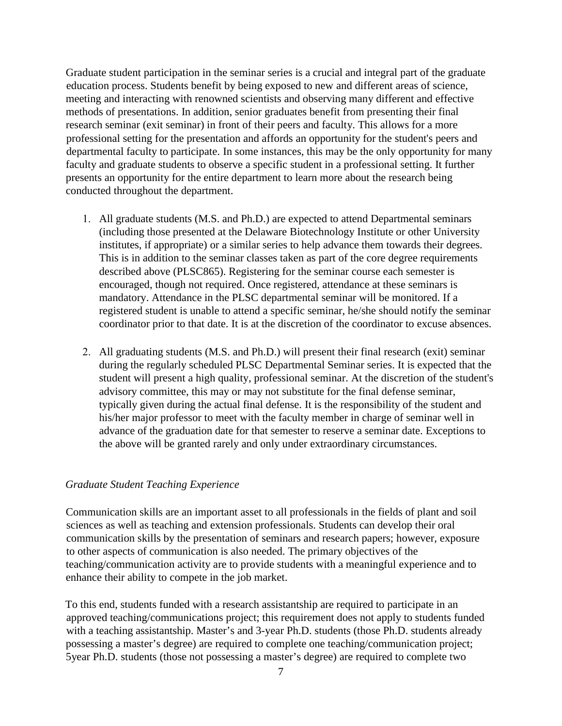Graduate student participation in the seminar series is a crucial and integral part of the graduate education process. Students benefit by being exposed to new and different areas of science, meeting and interacting with renowned scientists and observing many different and effective methods of presentations. In addition, senior graduates benefit from presenting their final research seminar (exit seminar) in front of their peers and faculty. This allows for a more professional setting for the presentation and affords an opportunity for the student's peers and departmental faculty to participate. In some instances, this may be the only opportunity for many faculty and graduate students to observe a specific student in a professional setting. It further presents an opportunity for the entire department to learn more about the research being conducted throughout the department.

- 1. All graduate students (M.S. and Ph.D.) are expected to attend Departmental seminars (including those presented at the Delaware Biotechnology Institute or other University institutes, if appropriate) or a similar series to help advance them towards their degrees. This is in addition to the seminar classes taken as part of the core degree requirements described above (PLSC865). Registering for the seminar course each semester is encouraged, though not required. Once registered, attendance at these seminars is mandatory. Attendance in the PLSC departmental seminar will be monitored. If a registered student is unable to attend a specific seminar, he/she should notify the seminar coordinator prior to that date. It is at the discretion of the coordinator to excuse absences.
- 2. All graduating students (M.S. and Ph.D.) will present their final research (exit) seminar during the regularly scheduled PLSC Departmental Seminar series. It is expected that the student will present a high quality, professional seminar. At the discretion of the student's advisory committee, this may or may not substitute for the final defense seminar, typically given during the actual final defense. It is the responsibility of the student and his/her major professor to meet with the faculty member in charge of seminar well in advance of the graduation date for that semester to reserve a seminar date. Exceptions to the above will be granted rarely and only under extraordinary circumstances.

#### *Graduate Student Teaching Experience*

Communication skills are an important asset to all professionals in the fields of plant and soil sciences as well as teaching and extension professionals. Students can develop their oral communication skills by the presentation of seminars and research papers; however, exposure to other aspects of communication is also needed. The primary objectives of the teaching/communication activity are to provide students with a meaningful experience and to enhance their ability to compete in the job market.

To this end, students funded with a research assistantship are required to participate in an approved teaching/communications project; this requirement does not apply to students funded with a teaching assistantship. Master's and 3-year Ph.D. students (those Ph.D. students already possessing a master's degree) are required to complete one teaching/communication project; 5year Ph.D. students (those not possessing a master's degree) are required to complete two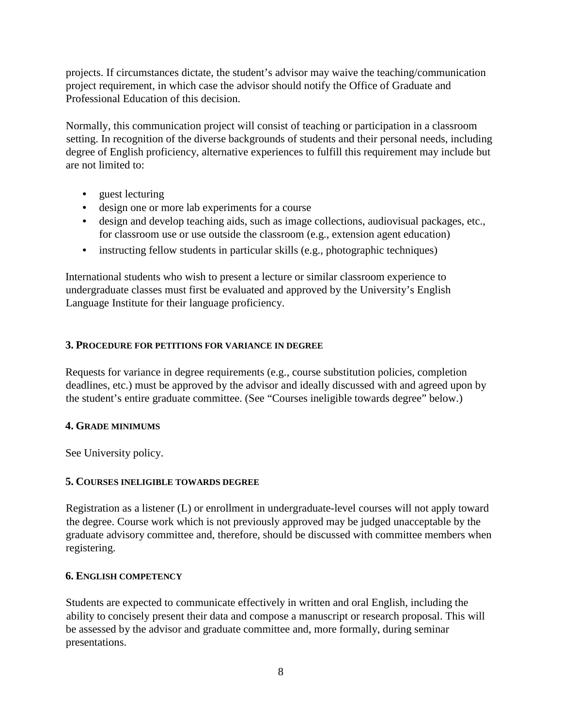projects. If circumstances dictate, the student's advisor may waive the teaching/communication project requirement, in which case the advisor should notify the Office of Graduate and Professional Education of this decision.

Normally, this communication project will consist of teaching or participation in a classroom setting. In recognition of the diverse backgrounds of students and their personal needs, including degree of English proficiency, alternative experiences to fulfill this requirement may include but are not limited to:

- guest lecturing
- design one or more lab experiments for a course
- design and develop teaching aids, such as image collections, audiovisual packages, etc., for classroom use or use outside the classroom (e.g., extension agent education)
- instructing fellow students in particular skills (e.g., photographic techniques)

International students who wish to present a lecture or similar classroom experience to undergraduate classes must first be evaluated and approved by the University's English Language Institute for their language proficiency.

#### **3. PROCEDURE FOR PETITIONS FOR VARIANCE IN DEGREE**

Requests for variance in degree requirements (e.g., course substitution policies, completion deadlines, etc.) must be approved by the advisor and ideally discussed with and agreed upon by the student's entire graduate committee. (See "Courses ineligible towards degree" below.)

#### **4. GRADE MINIMUMS**

See University policy.

#### **5. COURSES INELIGIBLE TOWARDS DEGREE**

Registration as a listener (L) or enrollment in undergraduate-level courses will not apply toward the degree. Course work which is not previously approved may be judged unacceptable by the graduate advisory committee and, therefore, should be discussed with committee members when registering.

#### **6. ENGLISH COMPETENCY**

Students are expected to communicate effectively in written and oral English, including the ability to concisely present their data and compose a manuscript or research proposal. This will be assessed by the advisor and graduate committee and, more formally, during seminar presentations.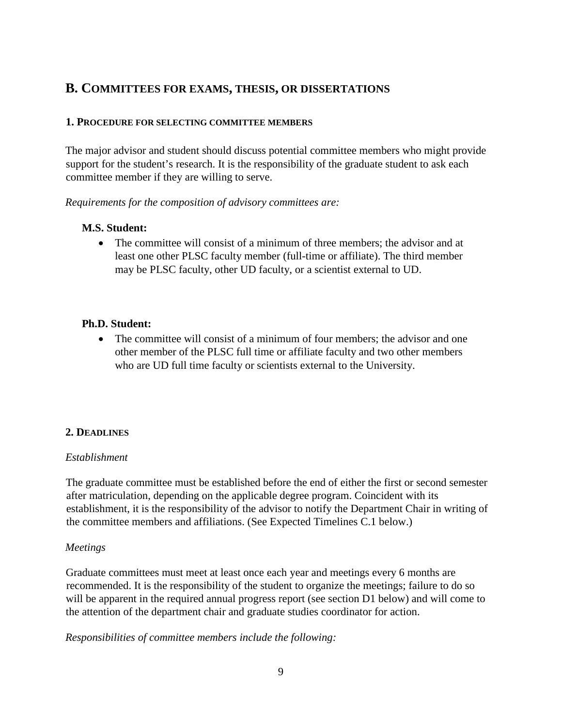## **B. COMMITTEES FOR EXAMS, THESIS, OR DISSERTATIONS**

#### **1. PROCEDURE FOR SELECTING COMMITTEE MEMBERS**

The major advisor and student should discuss potential committee members who might provide support for the student's research. It is the responsibility of the graduate student to ask each committee member if they are willing to serve.

*Requirements for the composition of advisory committees are:* 

#### **M.S. Student:**

• The committee will consist of a minimum of three members; the advisor and at least one other PLSC faculty member (full-time or affiliate). The third member may be PLSC faculty, other UD faculty, or a scientist external to UD.

#### **Ph.D. Student:**

• The committee will consist of a minimum of four members; the advisor and one other member of the PLSC full time or affiliate faculty and two other members who are UD full time faculty or scientists external to the University.

#### **2. DEADLINES**

#### *Establishment*

The graduate committee must be established before the end of either the first or second semester after matriculation, depending on the applicable degree program. Coincident with its establishment, it is the responsibility of the advisor to notify the Department Chair in writing of the committee members and affiliations. (See Expected Timelines C.1 below.)

#### *Meetings*

Graduate committees must meet at least once each year and meetings every 6 months are recommended. It is the responsibility of the student to organize the meetings; failure to do so will be apparent in the required annual progress report (see section D1 below) and will come to the attention of the department chair and graduate studies coordinator for action.

*Responsibilities of committee members include the following:*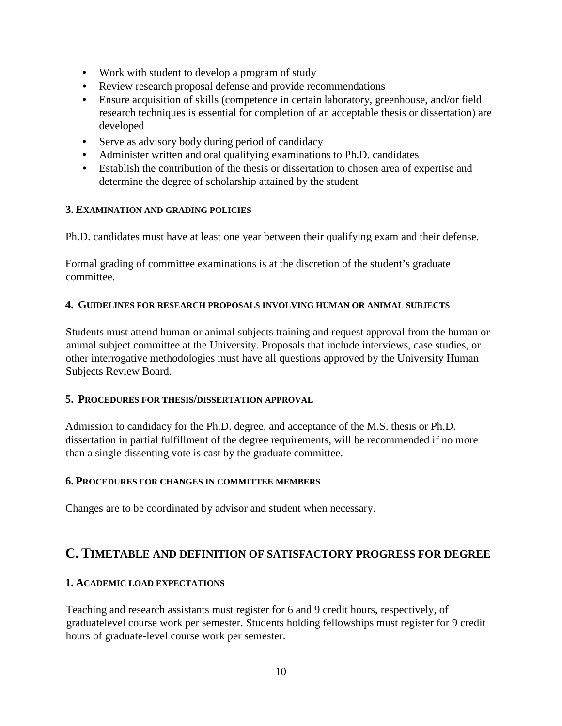- Work with student to develop a program of study
- Review research proposal defense and provide recommendations
- Ensure acquisition of skills (competence in certain laboratory, greenhouse, and/or field research techniques is essential for completion of an acceptable thesis or dissertation) are developed
- Serve as advisory body during period of candidacy
- Administer written and oral qualifying examinations to Ph.D. candidates
- Establish the contribution of the thesis or dissertation to chosen area of expertise and determine the degree of scholarship attained by the student

#### **3. EXAMINATION AND GRADING POLICIES**

Ph.D. candidates must have at least one year between their qualifying exam and their defense.

Formal grading of committee examinations is at the discretion of the student's graduate committee.

#### **4. GUIDELINES FOR RESEARCH PROPOSALS INVOLVING HUMAN OR ANIMAL SUBJECTS**

Students must attend human or animal subjects training and request approval from the human or animal subject committee at the University. Proposals that include interviews, case studies, or other interrogative methodologies must have all questions approved by the University Human Subjects Review Board.

#### **5. PROCEDURES FOR THESIS/DISSERTATION APPROVAL**

Admission to candidacy for the Ph.D. degree, and acceptance of the M.S. thesis or Ph.D. dissertation in partial fulfillment of the degree requirements, will be recommended if no more than a single dissenting vote is cast by the graduate committee.

#### **6. PROCEDURES FOR CHANGES IN COMMITTEE MEMBERS**

Changes are to be coordinated by advisor and student when necessary.

### **C. TIMETABLE AND DEFINITION OF SATISFACTORY PROGRESS FOR DEGREE**

#### **1. ACADEMIC LOAD EXPECTATIONS**

Teaching and research assistants must register for 6 and 9 credit hours, respectively, of graduatelevel course work per semester. Students holding fellowships must register for 9 credit hours of graduate-level course work per semester.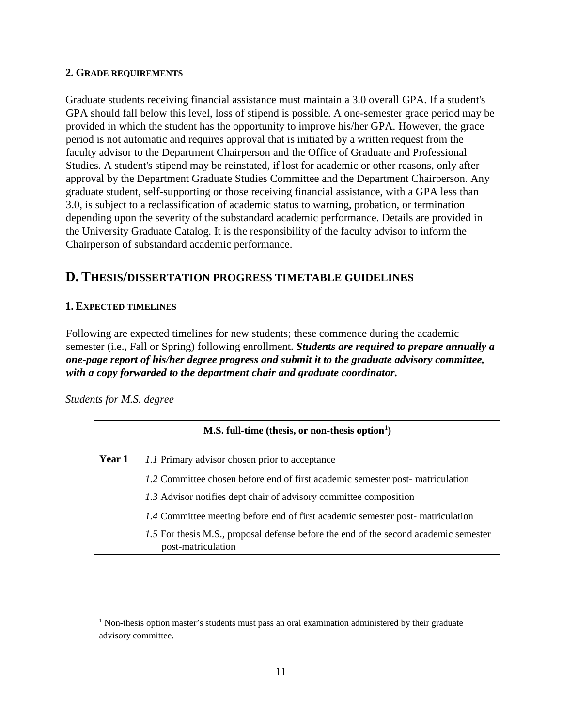#### **2. GRADE REQUIREMENTS**

Graduate students receiving financial assistance must maintain a 3.0 overall GPA. If a student's GPA should fall below this level, loss of stipend is possible. A one-semester grace period may be provided in which the student has the opportunity to improve his/her GPA. However, the grace period is not automatic and requires approval that is initiated by a written request from the faculty advisor to the Department Chairperson and the Office of Graduate and Professional Studies. A student's stipend may be reinstated, if lost for academic or other reasons, only after approval by the Department Graduate Studies Committee and the Department Chairperson. Any graduate student, self-supporting or those receiving financial assistance, with a GPA less than 3.0, is subject to a reclassification of academic status to warning, probation, or termination depending upon the severity of the substandard academic performance. Details are provided in the University Graduate Catalog. It is the responsibility of the faculty advisor to inform the Chairperson of substandard academic performance.

## **D. THESIS/DISSERTATION PROGRESS TIMETABLE GUIDELINES**

#### **1. EXPECTED TIMELINES**

Following are expected timelines for new students; these commence during the academic semester (i.e., Fall or Spring) following enrollment. *Students are required to prepare annually a one-page report of his/her degree progress and submit it to the graduate advisory committee, with a copy forwarded to the department chair and graduate coordinator.* 

*Students for M.S. degree* 

| M.S. full-time (thesis, or non-thesis option $\mathbf{h}$ ) |                                                                                                            |  |  |  |
|-------------------------------------------------------------|------------------------------------------------------------------------------------------------------------|--|--|--|
| Year 1                                                      | 1.1 Primary advisor chosen prior to acceptance                                                             |  |  |  |
|                                                             | 1.2 Committee chosen before end of first academic semester post-matriculation                              |  |  |  |
|                                                             | 1.3 Advisor notifies dept chair of advisory committee composition                                          |  |  |  |
|                                                             | 1.4 Committee meeting before end of first academic semester post-matriculation                             |  |  |  |
|                                                             | 1.5 For thesis M.S., proposal defense before the end of the second academic semester<br>post-matriculation |  |  |  |

<span id="page-10-0"></span><sup>&</sup>lt;sup>1</sup> Non-thesis option master's students must pass an oral examination administered by their graduate advisory committee.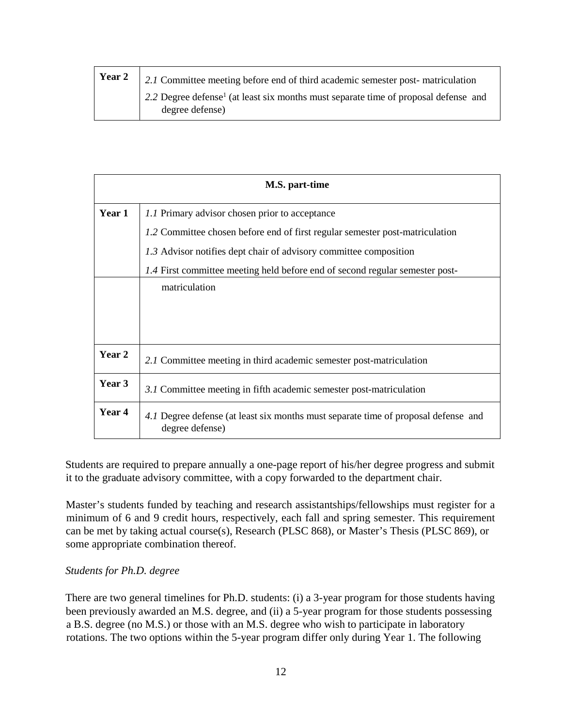| <b>Year 2</b>   2.1 Committee meeting before end of third academic semester post-matriculation                     |
|--------------------------------------------------------------------------------------------------------------------|
| 2.2 Degree defense <sup>1</sup> (at least six months must separate time of proposal defense and<br>degree defense) |

| M.S. part-time |                                                                                                       |  |  |  |  |  |  |  |
|----------------|-------------------------------------------------------------------------------------------------------|--|--|--|--|--|--|--|
| Year 1         | 1.1 Primary advisor chosen prior to acceptance                                                        |  |  |  |  |  |  |  |
|                | 1.2 Committee chosen before end of first regular semester post-matriculation                          |  |  |  |  |  |  |  |
|                | 1.3 Advisor notifies dept chair of advisory committee composition                                     |  |  |  |  |  |  |  |
|                | 1.4 First committee meeting held before end of second regular semester post-                          |  |  |  |  |  |  |  |
|                | matriculation                                                                                         |  |  |  |  |  |  |  |
|                |                                                                                                       |  |  |  |  |  |  |  |
|                |                                                                                                       |  |  |  |  |  |  |  |
| Year 2         | 2.1 Committee meeting in third academic semester post-matriculation                                   |  |  |  |  |  |  |  |
| Year 3         | 3.1 Committee meeting in fifth academic semester post-matriculation                                   |  |  |  |  |  |  |  |
| <b>Year 4</b>  | 4.1 Degree defense (at least six months must separate time of proposal defense and<br>degree defense) |  |  |  |  |  |  |  |

Students are required to prepare annually a one-page report of his/her degree progress and submit it to the graduate advisory committee, with a copy forwarded to the department chair.

Master's students funded by teaching and research assistantships/fellowships must register for a minimum of 6 and 9 credit hours, respectively, each fall and spring semester. This requirement can be met by taking actual course(s), Research (PLSC 868), or Master's Thesis (PLSC 869), or some appropriate combination thereof.

#### *Students for Ph.D. degree*

There are two general timelines for Ph.D. students: (i) a 3-year program for those students having been previously awarded an M.S. degree, and (ii) a 5-year program for those students possessing a B.S. degree (no M.S.) or those with an M.S. degree who wish to participate in laboratory rotations. The two options within the 5-year program differ only during Year 1. The following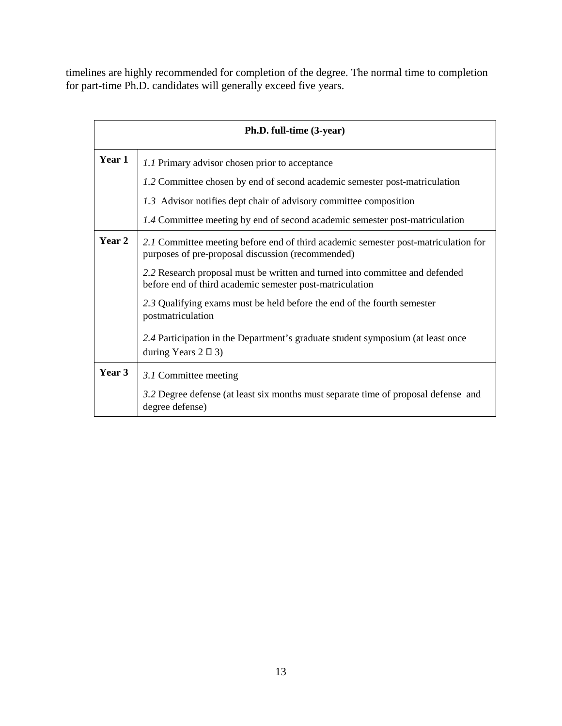timelines are highly recommended for completion of the degree. The normal time to completion for part-time Ph.D. candidates will generally exceed five years.

| Ph.D. full-time (3-year) |                                                                                                                                          |  |  |  |  |  |  |
|--------------------------|------------------------------------------------------------------------------------------------------------------------------------------|--|--|--|--|--|--|
| Year 1                   | 1.1 Primary advisor chosen prior to acceptance                                                                                           |  |  |  |  |  |  |
|                          | 1.2 Committee chosen by end of second academic semester post-matriculation                                                               |  |  |  |  |  |  |
|                          | 1.3 Advisor notifies dept chair of advisory committee composition                                                                        |  |  |  |  |  |  |
|                          | 1.4 Committee meeting by end of second academic semester post-matriculation                                                              |  |  |  |  |  |  |
| Year 2                   | 2.1 Committee meeting before end of third academic semester post-matriculation for<br>purposes of pre-proposal discussion (recommended)  |  |  |  |  |  |  |
|                          | 2.2 Research proposal must be written and turned into committee and defended<br>before end of third academic semester post-matriculation |  |  |  |  |  |  |
|                          | 2.3 Qualifying exams must be held before the end of the fourth semester<br>postmatriculation                                             |  |  |  |  |  |  |
|                          | 2.4 Participation in the Department's graduate student symposium (at least once<br>during Years $2 \Box 3$                               |  |  |  |  |  |  |
| Year 3                   | 3.1 Committee meeting                                                                                                                    |  |  |  |  |  |  |
|                          | 3.2 Degree defense (at least six months must separate time of proposal defense and<br>degree defense)                                    |  |  |  |  |  |  |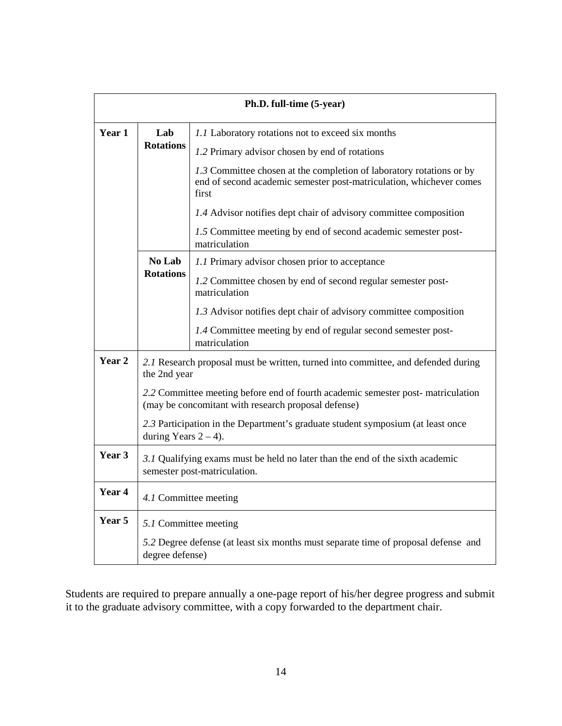| Ph.D. full-time (5-year) |                                                                                                                                        |                                                                                                                                                      |  |  |  |  |  |
|--------------------------|----------------------------------------------------------------------------------------------------------------------------------------|------------------------------------------------------------------------------------------------------------------------------------------------------|--|--|--|--|--|
| Year 1                   | Lab                                                                                                                                    | 1.1 Laboratory rotations not to exceed six months                                                                                                    |  |  |  |  |  |
|                          | <b>Rotations</b>                                                                                                                       | 1.2 Primary advisor chosen by end of rotations                                                                                                       |  |  |  |  |  |
|                          |                                                                                                                                        | 1.3 Committee chosen at the completion of laboratory rotations or by<br>end of second academic semester post-matriculation, whichever comes<br>first |  |  |  |  |  |
|                          |                                                                                                                                        | 1.4 Advisor notifies dept chair of advisory committee composition                                                                                    |  |  |  |  |  |
|                          |                                                                                                                                        | 1.5 Committee meeting by end of second academic semester post-<br>matriculation                                                                      |  |  |  |  |  |
|                          | No Lab                                                                                                                                 | 1.1 Primary advisor chosen prior to acceptance                                                                                                       |  |  |  |  |  |
|                          | <b>Rotations</b>                                                                                                                       | 1.2 Committee chosen by end of second regular semester post-<br>matriculation                                                                        |  |  |  |  |  |
|                          |                                                                                                                                        | 1.3 Advisor notifies dept chair of advisory committee composition                                                                                    |  |  |  |  |  |
|                          |                                                                                                                                        | 1.4 Committee meeting by end of regular second semester post-<br>matriculation                                                                       |  |  |  |  |  |
| Year 2                   | 2.1 Research proposal must be written, turned into committee, and defended during<br>the 2nd year                                      |                                                                                                                                                      |  |  |  |  |  |
|                          | 2.2 Committee meeting before end of fourth academic semester post-matriculation<br>(may be concomitant with research proposal defense) |                                                                                                                                                      |  |  |  |  |  |
|                          | 2.3 Participation in the Department's graduate student symposium (at least once<br>during Years $2 - 4$ ).                             |                                                                                                                                                      |  |  |  |  |  |
| Year 3                   | 3.1 Qualifying exams must be held no later than the end of the sixth academic<br>semester post-matriculation.                          |                                                                                                                                                      |  |  |  |  |  |
| Year 4                   | 4.1 Committee meeting                                                                                                                  |                                                                                                                                                      |  |  |  |  |  |
| Year 5                   |                                                                                                                                        | 5.1 Committee meeting                                                                                                                                |  |  |  |  |  |
|                          | 5.2 Degree defense (at least six months must separate time of proposal defense and<br>degree defense)                                  |                                                                                                                                                      |  |  |  |  |  |

Students are required to prepare annually a one-page report of his/her degree progress and submit it to the graduate advisory committee, with a copy forwarded to the department chair.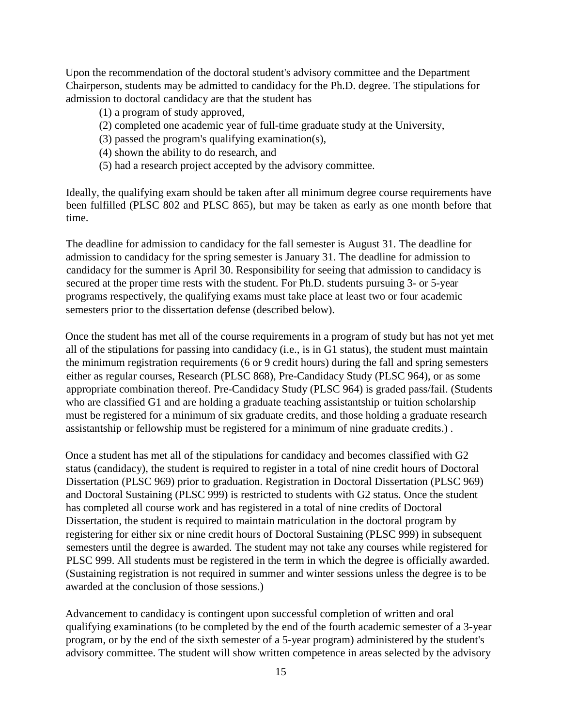Upon the recommendation of the doctoral student's advisory committee and the Department Chairperson, students may be admitted to candidacy for the Ph.D. degree. The stipulations for admission to doctoral candidacy are that the student has

- (1) a program of study approved,
- (2) completed one academic year of full-time graduate study at the University,
- (3) passed the program's qualifying examination(s),
- (4) shown the ability to do research, and
- (5) had a research project accepted by the advisory committee.

Ideally, the qualifying exam should be taken after all minimum degree course requirements have been fulfilled (PLSC 802 and PLSC 865), but may be taken as early as one month before that time.

The deadline for admission to candidacy for the fall semester is August 31. The deadline for admission to candidacy for the spring semester is January 31. The deadline for admission to candidacy for the summer is April 30. Responsibility for seeing that admission to candidacy is secured at the proper time rests with the student. For Ph.D. students pursuing 3- or 5-year programs respectively, the qualifying exams must take place at least two or four academic semesters prior to the dissertation defense (described below).

Once the student has met all of the course requirements in a program of study but has not yet met all of the stipulations for passing into candidacy (i.e., is in G1 status), the student must maintain the minimum registration requirements (6 or 9 credit hours) during the fall and spring semesters either as regular courses, Research (PLSC 868), Pre-Candidacy Study (PLSC 964), or as some appropriate combination thereof. Pre-Candidacy Study (PLSC 964) is graded pass/fail. (Students who are classified G1 and are holding a graduate teaching assistantship or tuition scholarship must be registered for a minimum of six graduate credits, and those holding a graduate research assistantship or fellowship must be registered for a minimum of nine graduate credits.) .

Once a student has met all of the stipulations for candidacy and becomes classified with G2 status (candidacy), the student is required to register in a total of nine credit hours of Doctoral Dissertation (PLSC 969) prior to graduation. Registration in Doctoral Dissertation (PLSC 969) and Doctoral Sustaining (PLSC 999) is restricted to students with G2 status. Once the student has completed all course work and has registered in a total of nine credits of Doctoral Dissertation, the student is required to maintain matriculation in the doctoral program by registering for either six or nine credit hours of Doctoral Sustaining (PLSC 999) in subsequent semesters until the degree is awarded. The student may not take any courses while registered for PLSC 999. All students must be registered in the term in which the degree is officially awarded. (Sustaining registration is not required in summer and winter sessions unless the degree is to be awarded at the conclusion of those sessions.)

Advancement to candidacy is contingent upon successful completion of written and oral qualifying examinations (to be completed by the end of the fourth academic semester of a 3-year program, or by the end of the sixth semester of a 5-year program) administered by the student's advisory committee. The student will show written competence in areas selected by the advisory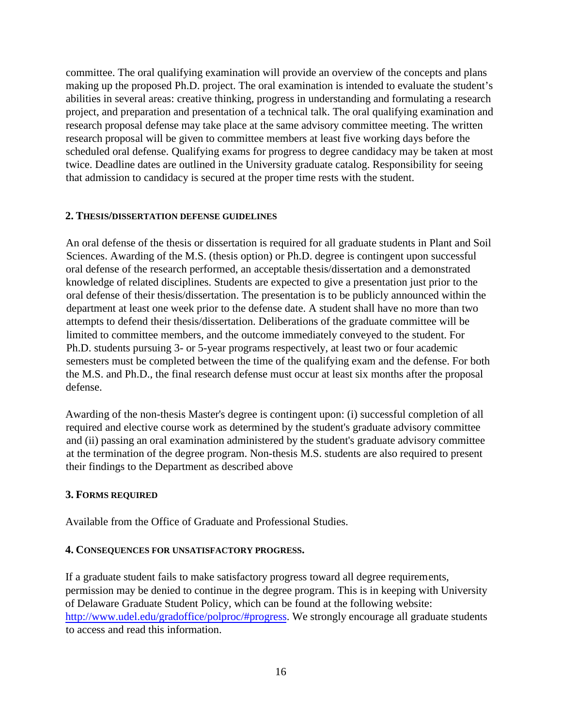committee. The oral qualifying examination will provide an overview of the concepts and plans making up the proposed Ph.D. project. The oral examination is intended to evaluate the student's abilities in several areas: creative thinking, progress in understanding and formulating a research project, and preparation and presentation of a technical talk. The oral qualifying examination and research proposal defense may take place at the same advisory committee meeting. The written research proposal will be given to committee members at least five working days before the scheduled oral defense. Qualifying exams for progress to degree candidacy may be taken at most twice. Deadline dates are outlined in the University graduate catalog. Responsibility for seeing that admission to candidacy is secured at the proper time rests with the student.

#### **2. THESIS/DISSERTATION DEFENSE GUIDELINES**

An oral defense of the thesis or dissertation is required for all graduate students in Plant and Soil Sciences. Awarding of the M.S. (thesis option) or Ph.D. degree is contingent upon successful oral defense of the research performed, an acceptable thesis/dissertation and a demonstrated knowledge of related disciplines. Students are expected to give a presentation just prior to the oral defense of their thesis/dissertation. The presentation is to be publicly announced within the department at least one week prior to the defense date. A student shall have no more than two attempts to defend their thesis/dissertation. Deliberations of the graduate committee will be limited to committee members, and the outcome immediately conveyed to the student. For Ph.D. students pursuing 3- or 5-year programs respectively, at least two or four academic semesters must be completed between the time of the qualifying exam and the defense. For both the M.S. and Ph.D., the final research defense must occur at least six months after the proposal defense.

Awarding of the non-thesis Master's degree is contingent upon: (i) successful completion of all required and elective course work as determined by the student's graduate advisory committee and (ii) passing an oral examination administered by the student's graduate advisory committee at the termination of the degree program. Non-thesis M.S. students are also required to present their findings to the Department as described above

#### **3. FORMS REQUIRED**

Available from the Office of Graduate and Professional Studies.

#### **4. CONSEQUENCES FOR UNSATISFACTORY PROGRESS.**

If a graduate student fails to make satisfactory progress toward all degree requirements, permission may be denied to continue in the degree program. This is in keeping with University of Delaware Graduate Student Policy, which can be found at the following website: http://www.udel.edu/gradoffice/polproc/#progress. We strongly encourage all graduate students to access and read this information.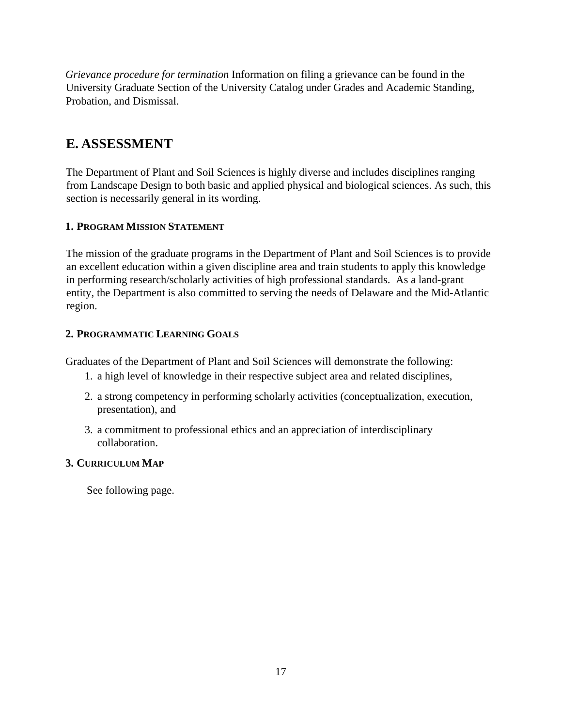*Grievance procedure for termination* Information on filing a grievance can be found in the University Graduate Section of the University Catalog under Grades and Academic Standing, Probation, and Dismissal.

## **E. ASSESSMENT**

The Department of Plant and Soil Sciences is highly diverse and includes disciplines ranging from Landscape Design to both basic and applied physical and biological sciences. As such, this section is necessarily general in its wording.

#### **1. PROGRAM MISSION STATEMENT**

The mission of the graduate programs in the Department of Plant and Soil Sciences is to provide an excellent education within a given discipline area and train students to apply this knowledge in performing research/scholarly activities of high professional standards. As a land-grant entity, the Department is also committed to serving the needs of Delaware and the Mid-Atlantic region.

#### **2. PROGRAMMATIC LEARNING GOALS**

Graduates of the Department of Plant and Soil Sciences will demonstrate the following:

- 1. a high level of knowledge in their respective subject area and related disciplines,
- 2. a strong competency in performing scholarly activities (conceptualization, execution, presentation), and
- 3. a commitment to professional ethics and an appreciation of interdisciplinary collaboration.

#### **3. CURRICULUM MAP**

See following page.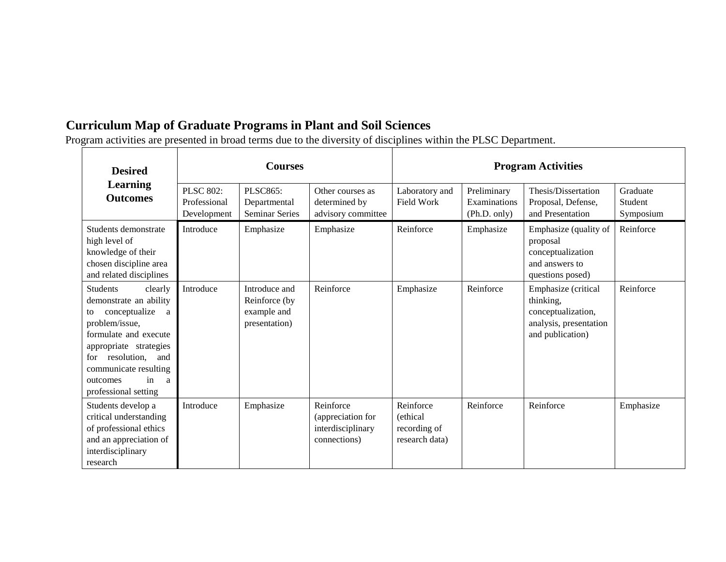# **Curriculum Map of Graduate Programs in Plant and Soil Sciences**

Program activities are presented in broad terms due to the diversity of disciplines within the PLSC Department.

| <b>Desired</b>                                                                                                                                                                                                                                               | <b>Courses</b>                                  |                                                                |                                                                     | <b>Program Activities</b>                               |                                             |                                                                                                      |                                  |
|--------------------------------------------------------------------------------------------------------------------------------------------------------------------------------------------------------------------------------------------------------------|-------------------------------------------------|----------------------------------------------------------------|---------------------------------------------------------------------|---------------------------------------------------------|---------------------------------------------|------------------------------------------------------------------------------------------------------|----------------------------------|
| Learning<br><b>Outcomes</b>                                                                                                                                                                                                                                  | <b>PLSC 802:</b><br>Professional<br>Development | <b>PLSC865:</b><br>Departmental<br>Seminar Series              | Other courses as<br>determined by<br>advisory committee             | Laboratory and<br><b>Field Work</b>                     | Preliminary<br>Examinations<br>(Ph.D. only) | Thesis/Dissertation<br>Proposal, Defense,<br>and Presentation                                        | Graduate<br>Student<br>Symposium |
| Students demonstrate<br>high level of<br>knowledge of their<br>chosen discipline area<br>and related disciplines                                                                                                                                             | Introduce                                       | Emphasize                                                      | Emphasize                                                           | Reinforce                                               | Emphasize                                   | Emphasize (quality of<br>proposal<br>conceptualization<br>and answers to<br>questions posed)         | Reinforce                        |
| <b>Students</b><br>clearly<br>demonstrate an ability<br>conceptualize<br>a a<br>to<br>problem/issue,<br>formulate and execute<br>appropriate strategies<br>resolution,<br>and<br>for<br>communicate resulting<br>in<br>outcomes<br>a<br>professional setting | Introduce                                       | Introduce and<br>Reinforce (by<br>example and<br>presentation) | Reinforce                                                           | Emphasize                                               | Reinforce                                   | Emphasize (critical<br>thinking,<br>conceptualization,<br>analysis, presentation<br>and publication) | Reinforce                        |
| Students develop a<br>critical understanding<br>of professional ethics<br>and an appreciation of<br>interdisciplinary<br>research                                                                                                                            | Introduce                                       | Emphasize                                                      | Reinforce<br>(appreciation for<br>interdisciplinary<br>connections) | Reinforce<br>(ethical<br>recording of<br>research data) | Reinforce                                   | Reinforce                                                                                            | Emphasize                        |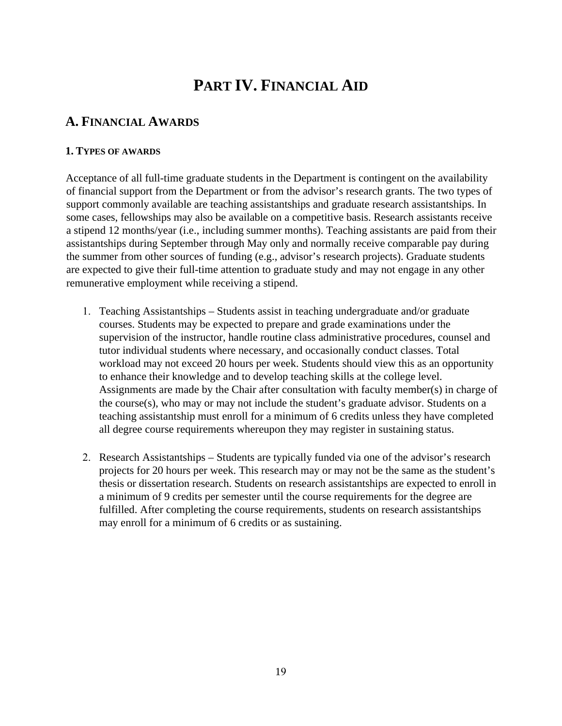# **PART IV. FINANCIAL AID**

## **A. FINANCIAL AWARDS**

#### **1. TYPES OF AWARDS**

Acceptance of all full-time graduate students in the Department is contingent on the availability of financial support from the Department or from the advisor's research grants. The two types of support commonly available are teaching assistantships and graduate research assistantships. In some cases, fellowships may also be available on a competitive basis. Research assistants receive a stipend 12 months/year (i.e., including summer months). Teaching assistants are paid from their assistantships during September through May only and normally receive comparable pay during the summer from other sources of funding (e.g., advisor's research projects). Graduate students are expected to give their full-time attention to graduate study and may not engage in any other remunerative employment while receiving a stipend.

- 1. Teaching Assistantships Students assist in teaching undergraduate and/or graduate courses. Students may be expected to prepare and grade examinations under the supervision of the instructor, handle routine class administrative procedures, counsel and tutor individual students where necessary, and occasionally conduct classes. Total workload may not exceed 20 hours per week. Students should view this as an opportunity to enhance their knowledge and to develop teaching skills at the college level. Assignments are made by the Chair after consultation with faculty member(s) in charge of the course(s), who may or may not include the student's graduate advisor. Students on a teaching assistantship must enroll for a minimum of 6 credits unless they have completed all degree course requirements whereupon they may register in sustaining status.
- 2. Research Assistantships Students are typically funded via one of the advisor's research projects for 20 hours per week. This research may or may not be the same as the student's thesis or dissertation research. Students on research assistantships are expected to enroll in a minimum of 9 credits per semester until the course requirements for the degree are fulfilled. After completing the course requirements, students on research assistantships may enroll for a minimum of 6 credits or as sustaining.